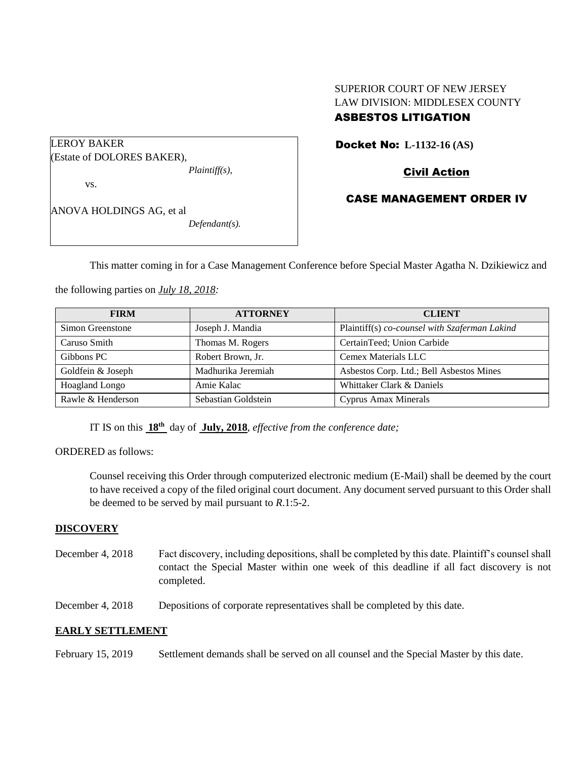# SUPERIOR COURT OF NEW JERSEY LAW DIVISION: MIDDLESEX COUNTY

# ASBESTOS LITIGATION

Docket No: **L-1132-16 (AS)** 

Civil Action

# CASE MANAGEMENT ORDER IV

ANOVA HOLDINGS AG, et al *Defendant(s).*

*Plaintiff(s),*

(Estate of DOLORES BAKER),

LEROY BAKER

vs.

This matter coming in for a Case Management Conference before Special Master Agatha N. Dzikiewicz and

the following parties on *July 18, 2018:*

| <b>FIRM</b>       | <b>ATTORNEY</b>     | <b>CLIENT</b>                                 |
|-------------------|---------------------|-----------------------------------------------|
| Simon Greenstone  | Joseph J. Mandia    | Plaintiff(s) co-counsel with Szaferman Lakind |
| Caruso Smith      | Thomas M. Rogers    | CertainTeed; Union Carbide                    |
| Gibbons PC        | Robert Brown, Jr.   | Cemex Materials LLC                           |
| Goldfein & Joseph | Madhurika Jeremiah  | Asbestos Corp. Ltd.; Bell Asbestos Mines      |
| Hoagland Longo    | Amie Kalac          | Whittaker Clark & Daniels                     |
| Rawle & Henderson | Sebastian Goldstein | Cyprus Amax Minerals                          |

IT IS on this  $18^{th}$  day of July, 2018, *effective from the conference date*;

ORDERED as follows:

Counsel receiving this Order through computerized electronic medium (E-Mail) shall be deemed by the court to have received a copy of the filed original court document. Any document served pursuant to this Order shall be deemed to be served by mail pursuant to *R*.1:5-2.

#### **DISCOVERY**

- December 4, 2018 Fact discovery, including depositions, shall be completed by this date. Plaintiff's counsel shall contact the Special Master within one week of this deadline if all fact discovery is not completed.
- December 4, 2018 Depositions of corporate representatives shall be completed by this date.

## **EARLY SETTLEMENT**

February 15, 2019 Settlement demands shall be served on all counsel and the Special Master by this date.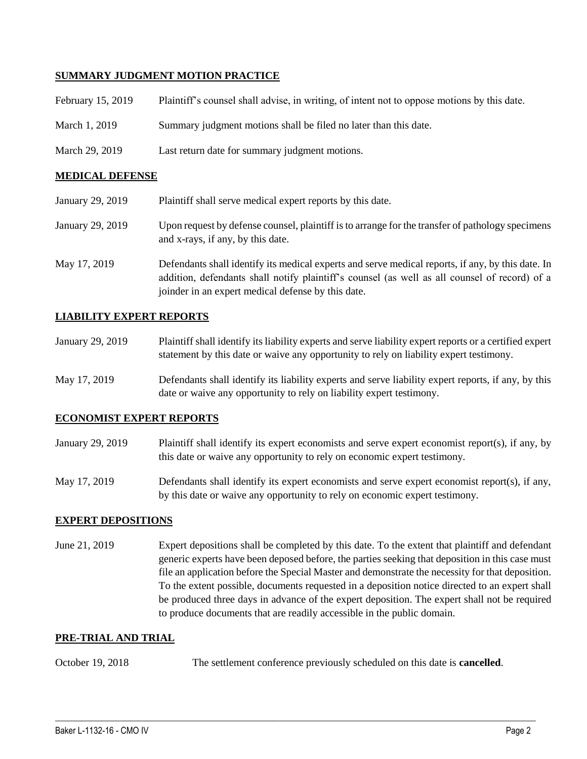### **SUMMARY JUDGMENT MOTION PRACTICE**

| February 15, 2019 | Plaintiff's counsel shall advise, in writing, of intent not to oppose motions by this date. |
|-------------------|---------------------------------------------------------------------------------------------|
| March 1, 2019     | Summary judgment motions shall be filed no later than this date.                            |
| March 29, 2019    | Last return date for summary judgment motions.                                              |

#### **MEDICAL DEFENSE**

| January 29, 2019 | Plaintiff shall serve medical expert reports by this date.                                                                                                                                                                                               |
|------------------|----------------------------------------------------------------------------------------------------------------------------------------------------------------------------------------------------------------------------------------------------------|
| January 29, 2019 | Upon request by defense counsel, plaintiff is to arrange for the transfer of pathology specimens<br>and x-rays, if any, by this date.                                                                                                                    |
| May 17, 2019     | Defendants shall identify its medical experts and serve medical reports, if any, by this date. In<br>addition, defendants shall notify plaintiff's counsel (as well as all counsel of record) of a<br>joinder in an expert medical defense by this date. |

#### **LIABILITY EXPERT REPORTS**

| January 29, 2019 | Plaintiff shall identify its liability experts and serve liability expert reports or a certified expert |
|------------------|---------------------------------------------------------------------------------------------------------|
|                  | statement by this date or waive any opportunity to rely on liability expert testimony.                  |

May 17, 2019 Defendants shall identify its liability experts and serve liability expert reports, if any, by this date or waive any opportunity to rely on liability expert testimony.

#### **ECONOMIST EXPERT REPORTS**

- January 29, 2019 Plaintiff shall identify its expert economists and serve expert economist report(s), if any, by this date or waive any opportunity to rely on economic expert testimony.
- May 17, 2019 Defendants shall identify its expert economists and serve expert economist report(s), if any, by this date or waive any opportunity to rely on economic expert testimony.

#### **EXPERT DEPOSITIONS**

June 21, 2019 Expert depositions shall be completed by this date. To the extent that plaintiff and defendant generic experts have been deposed before, the parties seeking that deposition in this case must file an application before the Special Master and demonstrate the necessity for that deposition. To the extent possible, documents requested in a deposition notice directed to an expert shall be produced three days in advance of the expert deposition. The expert shall not be required to produce documents that are readily accessible in the public domain.

#### **PRE-TRIAL AND TRIAL**

October 19, 2018 The settlement conference previously scheduled on this date is **cancelled**.

 $\_$  ,  $\_$  ,  $\_$  ,  $\_$  ,  $\_$  ,  $\_$  ,  $\_$  ,  $\_$  ,  $\_$  ,  $\_$  ,  $\_$  ,  $\_$  ,  $\_$  ,  $\_$  ,  $\_$  ,  $\_$  ,  $\_$  ,  $\_$  ,  $\_$  ,  $\_$  ,  $\_$  ,  $\_$  ,  $\_$  ,  $\_$  ,  $\_$  ,  $\_$  ,  $\_$  ,  $\_$  ,  $\_$  ,  $\_$  ,  $\_$  ,  $\_$  ,  $\_$  ,  $\_$  ,  $\_$  ,  $\_$  ,  $\_$  ,